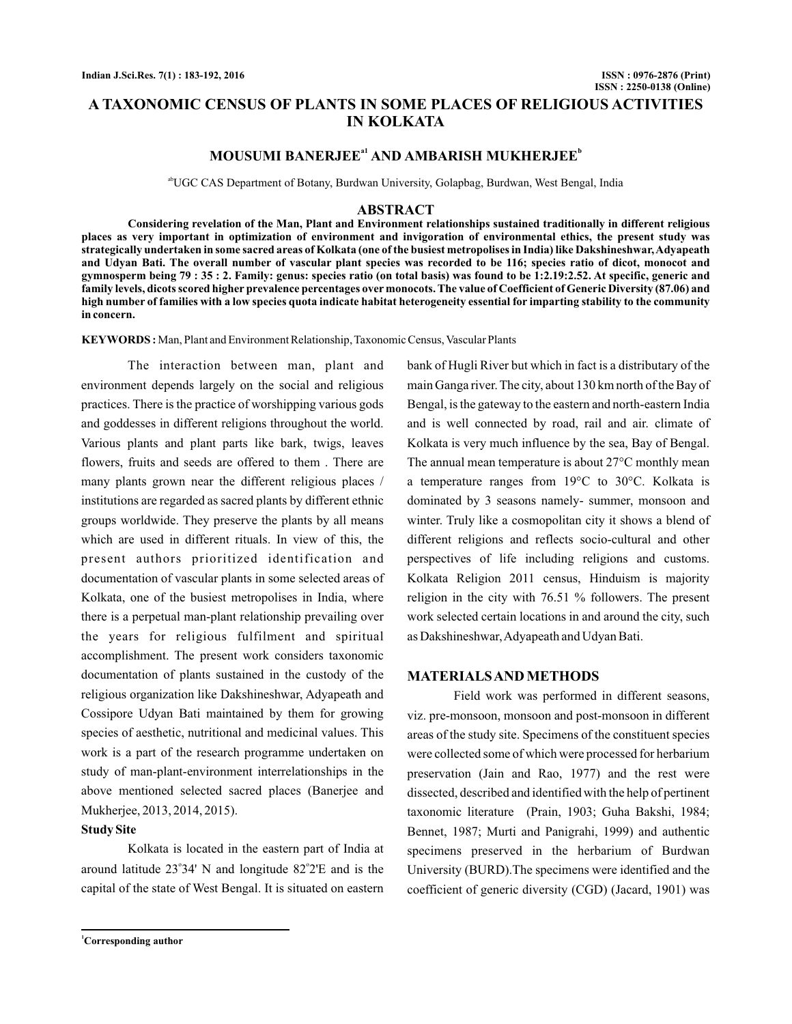# **A TAXONOMIC CENSUS OF PLANTS IN SOME PLACES OF RELIGIOUS ACTIVITIES IN KOLKATA**

## **MOUSUMI BANERJEE<sup>a1</sup> AND AMBARISH MUKHERJEE<sup>b</sup>**

abUGC CAS Department of Botany, Burdwan University, Golapbag, Burdwan, West Bengal, India

#### **ABSTRACT**

**Considering revelation of the Man, Plant and Environment relationships sustained traditionally in different religious places as very important in optimization of environment and invigoration of environmental ethics, the present study was strategically undertaken in some sacred areas of Kolkata (one of the busiest metropolises in India) like Dakshineshwar,Adyapeath and Udyan Bati. The overall number of vascular plant species was recorded to be 116; species ratio of dicot, monocot and gymnosperm being 79 : 35 : 2. Family: genus: species ratio (on total basis) was found to be 1:2.19:2.52. At specific, generic and family levels, dicots scored higher prevalence percentages over monocots. The value of Coefficient of Generic Diversity (87.06) and high number of families with a low species quota indicate habitat heterogeneity essential for imparting stability to the community in concern.**

**KEYWORDS**: Man, Plant and Environment Relationship, Taxonomic Census, Vascular Plants

The interaction between man, plant and environment depends largely on the social and religious practices. There is the practice of worshipping various gods and goddesses in different religions throughout the world. Various plants and plant parts like bark, twigs, leaves flowers, fruits and seeds are offered to them . There are many plants grown near the different religious places / institutions are regarded as sacred plants by different ethnic groups worldwide. They preserve the plants by all means which are used in different rituals. In view of this, the present authors prioritized identification and documentation of vascular plants in some selected areas of Kolkata, one of the busiest metropolises in India, where there is a perpetual man-plant relationship prevailing over the years for religious fulfilment and spiritual accomplishment. The present work considers taxonomic documentation of plants sustained in the custody of the religious organization like Dakshineshwar, Adyapeath and Cossipore Udyan Bati maintained by them for growing species of aesthetic, nutritional and medicinal values. This work is a part of the research programme undertaken on study of man-plant-environment interrelationships in the above mentioned selected sacred places (Banerjee and Mukherjee, 2013, 2014, 2015).

### **Study Site**

Kolkata is located in the eastern part of India at around latitude  $23^{\circ}34'$  N and longitude  $82^{\circ}2'E$  and is the capital of the state of West Bengal. It is situated on eastern bank of Hugli River but which in fact is a distributary of the main Ganga river. The city, about 130 km north of the Bay of Bengal, is the gateway to the eastern and north-eastern India and is well connected by road, rail and air. climate of Kolkata is very much influence by the sea, Bay of Bengal. The annual mean temperature is about 27°C monthly mean a temperature ranges from 19°C to 30°C. Kolkata is dominated by 3 seasons namely- summer, monsoon and winter. Truly like a cosmopolitan city it shows a blend of different religions and reflects socio-cultural and other perspectives of life including religions and customs. Kolkata Religion 2011 census, Hinduism is majority religion in the city with 76.51 % followers. The present work selected certain locations in and around the city, such as Dakshineshwar,Adyapeath and Udyan Bati.

### **MATERIALSAND METHODS**

Field work was performed in different seasons, viz. pre-monsoon, monsoon and post-monsoon in different areas of the study site. Specimens of the constituent species were collected some of which were processed for herbarium preservation (Jain and Rao, 1977) and the rest were dissected, described and identified with the help of pertinent taxonomic literature (Prain, 1903; Guha Bakshi, 1984; Bennet, 1987; Murti and Panigrahi, 1999) and authentic specimens preserved in the herbarium of Burdwan University (BURD).The specimens were identified and the coefficient of generic diversity (CGD) (Jacard, 1901) was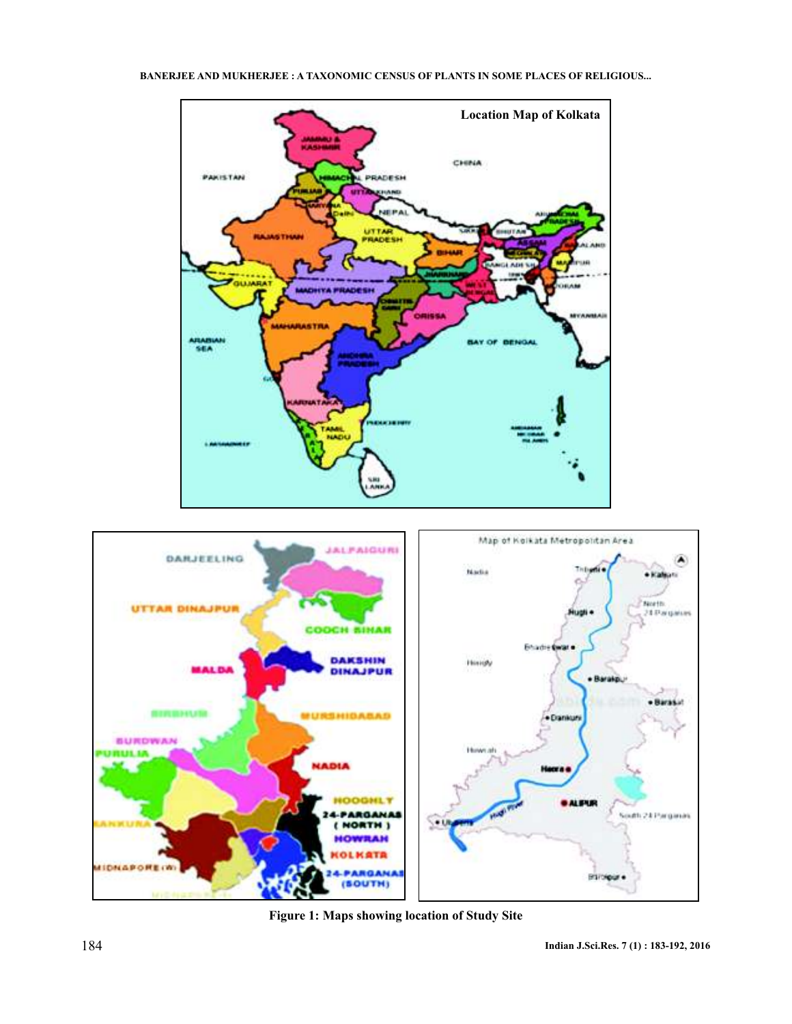



**Figure 1: Maps showing location of Study Site**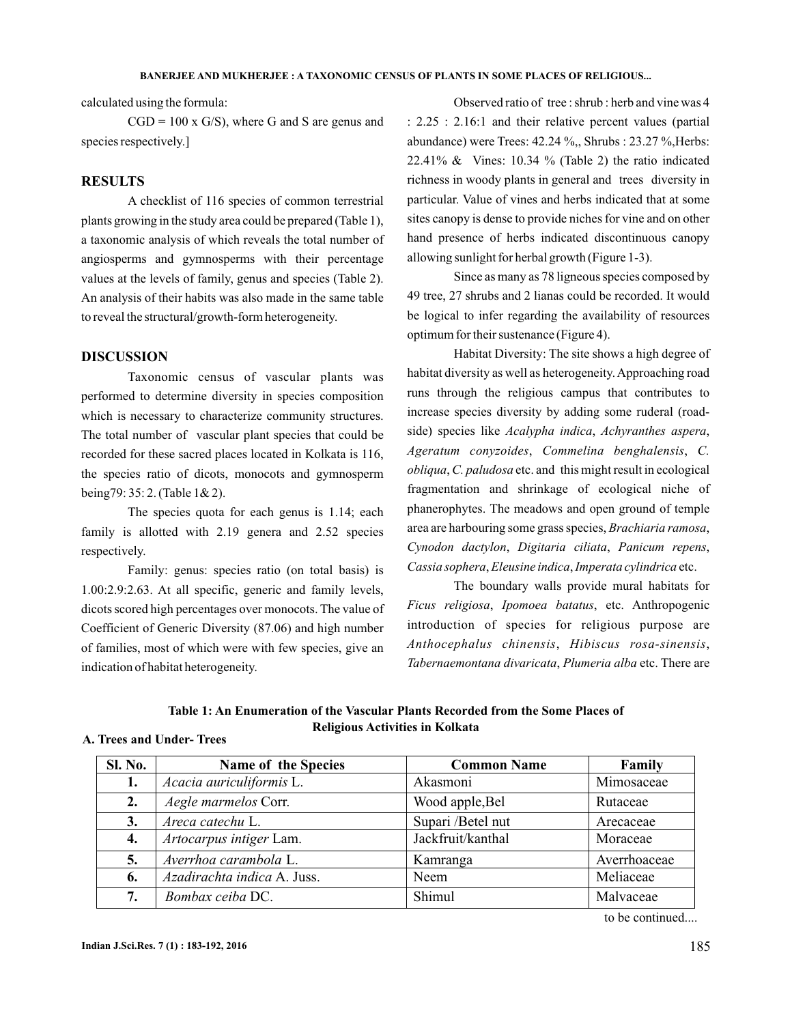calculated using the formula:

 $CGD = 100 \times G/S$ , where G and S are genus and species respectively.]

### **RESULTS**

A checklist of 116 species of common terrestrial plants growing in the study area could be prepared (Table 1), a taxonomic analysis of which reveals the total number of angiosperms and gymnosperms with their percentage values at the levels of family, genus and species (Table 2). An analysis of their habits was also made in the same table to reveal the structural/growth-form heterogeneity.

### **DISCUSSION**

Taxonomic census of vascular plants was performed to determine diversity in species composition which is necessary to characterize community structures. The total number of vascular plant species that could be recorded for these sacred places located in Kolkata is 116, the species ratio of dicots, monocots and gymnosperm being79: 35: 2. (Table 1& 2).

The species quota for each genus is 1.14; each family is allotted with 2.19 genera and 2.52 species respectively.

Family: genus: species ratio (on total basis) is 1.00:2.9:2.63. At all specific, generic and family levels, dicots scored high percentages over monocots. The value of Coefficient of Generic Diversity (87.06) and high number of families, most of which were with few species, give an indication of habitat heterogeneity.

Observed ratio of tree : shrub : herb and vine was 4 : 2.25 : 2.16:1 and their relative percent values (partial abundance) were Trees: 42.24 %,, Shrubs : 23.27 %,Herbs: 22.41%  $\&$  Vines: 10.34 % (Table 2) the ratio indicated richness in woody plants in general and trees diversity in particular. Value of vines and herbs indicated that at some sites canopy is dense to provide niches for vine and on other hand presence of herbs indicated discontinuous canopy allowing sunlight for herbal growth (Figure 1-3).

Since as many as 78 ligneous species composed by 49 tree, 27 shrubs and 2 lianas could be recorded. It would be logical to infer regarding the availability of resources optimum for their sustenance (Figure 4).

Habitat Diversity: The site shows a high degree of habitat diversity as well as heterogeneity.Approaching road runs through the religious campus that contributes to increase species diversity by adding some ruderal (roadside) species like Acalypha indica, Achyranthes aspera, , , *Ageratum conyzoides Commelina benghalensis C.* obliqua, C. paludosa etc. and this might result in ecological fragmentation and shrinkage of ecological niche of phanerophytes. The meadows and open ground of temple area are harbouring some grass species, Brachiaria ramosa, Cynodon dactylon, Digitaria ciliata, Panicum repens, Cassia sophera, Eleusine indica, Imperata cylindrica etc.

The boundary walls provide mural habitats for Ficus religiosa, Ipomoea batatus, etc. Anthropogenic introduction of species for religious purpose are , , *Anthocephalus chinensis Hibiscus rosa-sinensis* Tabernaemontana divaricata, Plumeria alba etc. There are

**Table 1: An Enumeration of the Vascular Plants Recorded from the Some Places of Religious Activities in Kolkata**

### **A. Trees and Under- Trees**

| Sl. No. | Name of the Species         | <b>Common Name</b> | Family       |
|---------|-----------------------------|--------------------|--------------|
| 1.      | Acacia auriculiformis L.    | Akasmoni           | Mimosaceae   |
| 2.      | Aegle marmelos Corr.        | Wood apple, Bel    | Rutaceae     |
| 3.      | Areca catechu L.            | Supari /Betel nut  | Arecaceae    |
| 4.      | Artocarpus intiger Lam.     | Jackfruit/kanthal  | Moraceae     |
| 5.      | Averrhoa carambola L.       | Kamranga           | Averrhoaceae |
| 6.      | Azadirachta indica A. Juss. | Neem               | Meliaceae    |
| 7.      | Bombax ceiba DC.            | Shimul             | Malvaceae    |

to be continued....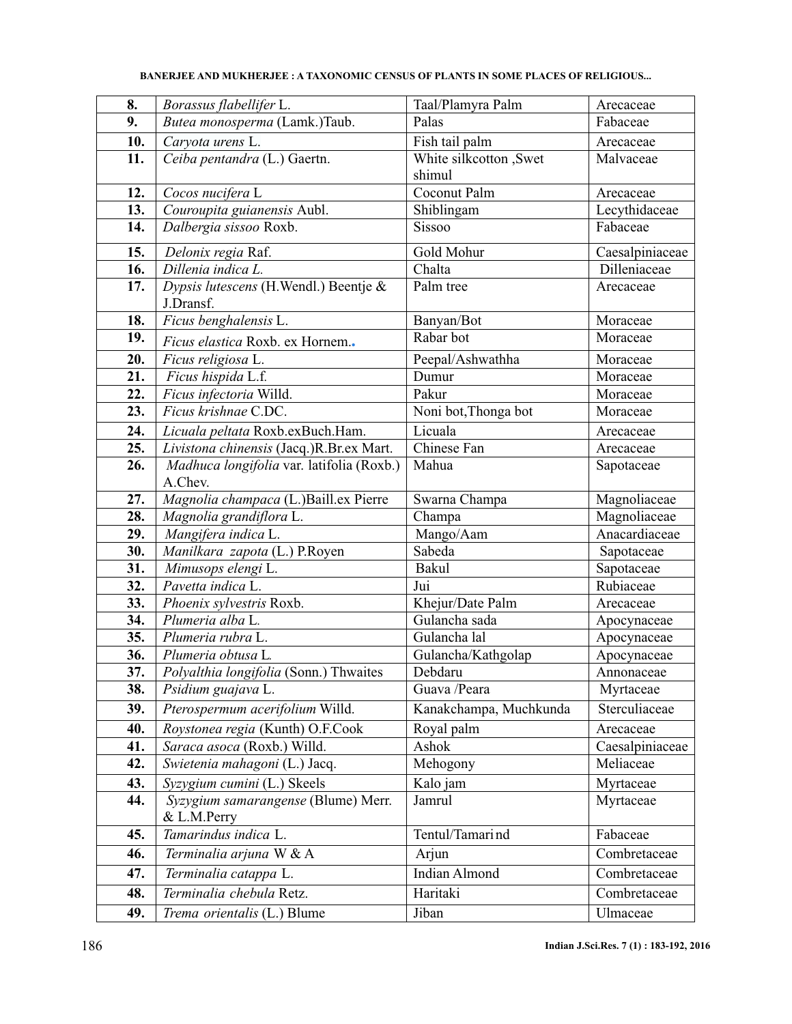| 8.         | Borassus flabellifer L.                   | Taal/Plamyra Palm                       | Arecaceae                |  |  |
|------------|-------------------------------------------|-----------------------------------------|--------------------------|--|--|
| 9.         | Butea monosperma (Lamk.)Taub.             | Palas                                   | Fabaceae                 |  |  |
| 10.        | Carvota urens L.                          | Fish tail palm                          | Arecaceae                |  |  |
| 11.        | Ceiba pentandra (L.) Gaertn.              | White silkcotton , Swet<br>Malvaceae    |                          |  |  |
|            |                                           | shimul                                  |                          |  |  |
| 12.        | Cocos nucifera $\overline{L}$             | Coconut Palm<br>Arecaceae               |                          |  |  |
| 13.        | Couroupita guianensis Aubl.               | Shiblingam                              | Lecythidaceae            |  |  |
| 14.        | Dalbergia sissoo Roxb.                    | Sissoo<br>Fabaceae                      |                          |  |  |
| 15.        | Delonix regia Raf.                        | Gold Mohur                              | Caesalpiniaceae          |  |  |
| 16.        | Dillenia indica L.                        | Chalta                                  | Dilleniaceae             |  |  |
| 17.        | Dypsis lutescens (H.Wendl.) Beentje &     | Palm tree<br>Arecaceae                  |                          |  |  |
|            | J.Dransf.                                 |                                         |                          |  |  |
| 18.        | Ficus benghalensis L.                     | Banyan/Bot                              | Moraceae                 |  |  |
| 19.        | Ficus elastica Roxb. ex Hornem            | Rabar bot                               | Moraceae                 |  |  |
| 20.        | Ficus religiosa L.                        | Peepal/Ashwathha<br>Moraceae            |                          |  |  |
| 21.        | Ficus hispida L.f.                        | Dumur                                   | Moraceae                 |  |  |
| 22.        | Ficus infectoria Willd.                   | Pakur                                   | Moraceae                 |  |  |
| 23.        | Ficus krishnae C.DC.                      | Noni bot, Thonga bot                    | Moraceae                 |  |  |
| 24.        | Licuala peltata Roxb.exBuch.Ham.          | Licuala                                 | Arecaceae                |  |  |
| 25.        | Livistona chinensis (Jacq.)R.Br.ex Mart.  | Chinese Fan                             | Arecaceae                |  |  |
| 26.        | Madhuca longifolia var. latifolia (Roxb.) | Mahua                                   | Sapotaceae               |  |  |
|            | A.Chev.                                   |                                         |                          |  |  |
| 27.        | Magnolia champaca (L.)Baill.ex Pierre     | Swarna Champa                           | Magnoliaceae             |  |  |
| 28.        | Magnolia grandiflora L.                   | Champa                                  | Magnoliaceae             |  |  |
| 29.        | Mangifera indica L.                       | Mango/Aam                               | Anacardiaceae            |  |  |
| 30.        | Manilkara zapota (L.) P.Royen             | Sabeda                                  | Sapotaceae               |  |  |
| 31.        | Mimusops elengi L.<br>Pavetta indica L.   | Bakul<br>Jui                            | Sapotaceae<br>Rubiaceae  |  |  |
| 32.<br>33. | Phoenix sylvestris Roxb.                  |                                         |                          |  |  |
| 34.        | Plumeria alba L.                          | Khejur/Date Palm<br>Gulancha sada       | Arecaceae<br>Apocynaceae |  |  |
| 35.        | Plumeria rubra L.                         | Gulancha lal                            | Apocynaceae              |  |  |
| 36.        | Plumeria obtusa L.                        | Gulancha/Kathgolap                      | Apocynaceae              |  |  |
| 37.        | Polyalthia longifolia (Sonn.) Thwaites    | Debdaru                                 | Annonaceae               |  |  |
| 38.        | Psidium guajava L.                        | Guava /Peara<br>Myrtaceae               |                          |  |  |
| 39.        | Pterospermum acerifolium Willd.           | Sterculiaceae<br>Kanakchampa, Muchkunda |                          |  |  |
| 40.        | Roystonea regia (Kunth) O.F.Cook          | Royal palm                              | Arecaceae                |  |  |
| 41.        | Saraca asoca (Roxb.) Willd.               | Ashok                                   | Caesalpiniaceae          |  |  |
| 42.        | Swietenia mahagoni (L.) Jacq.             | Mehogony                                | Meliaceae                |  |  |
| 43.        | Syzygium cumini (L.) Skeels               | Kalo jam<br>Myrtaceae                   |                          |  |  |
| 44.        | Syzygium samarangense (Blume) Merr.       | Jamrul                                  | Myrtaceae                |  |  |
|            | & L.M.Perry                               |                                         |                          |  |  |
| 45.        | Tamarindus indica L.                      | Tentul/Tamari nd                        | Fabaceae                 |  |  |
| 46.        | Terminalia arjuna W & A                   | Arjun                                   | Combretaceae             |  |  |
| 47.        | Terminalia catappa L.                     | <b>Indian Almond</b><br>Combretaceae    |                          |  |  |
| 48.        | Terminalia chebula Retz.                  | Haritaki<br>Combretaceae                |                          |  |  |
| 49.        | Trema orientalis (L.) Blume               | Jiban<br>Ulmaceae                       |                          |  |  |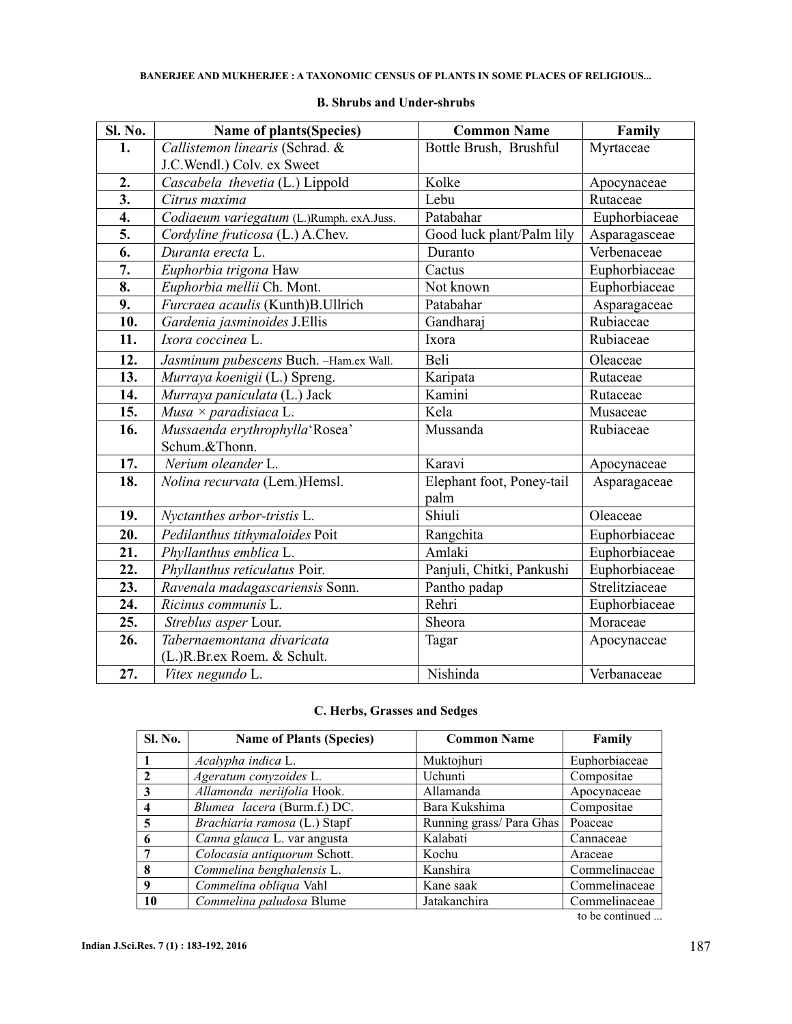| <b>Sl. No.</b> | Name of plants(Species)                  | <b>Common Name</b>        | Family         |  |
|----------------|------------------------------------------|---------------------------|----------------|--|
| 1.             | Callistemon linearis (Schrad. &          | Bottle Brush, Brushful    | Myrtaceae      |  |
|                | J.C.Wendl.) Colv. ex Sweet               |                           |                |  |
| 2.             | Cascabela thevetia (L.) Lippold          | Kolke                     | Apocynaceae    |  |
| 3.             | Citrus maxima                            | Lebu                      | Rutaceae       |  |
| 4.             | Codiaeum variegatum (L.)Rumph. exA.Juss. | Patabahar                 | Euphorbiaceae  |  |
| 5.             | Cordyline fruticosa (L.) A.Chev.         | Good luck plant/Palm lily | Asparagasceae  |  |
| 6.             | Duranta erecta L.                        | Duranto                   | Verbenaceae    |  |
| 7.             | Euphorbia trigona Haw                    | Cactus                    | Euphorbiaceae  |  |
| 8.             | Euphorbia mellii Ch. Mont.               | Not known                 | Euphorbiaceae  |  |
| 9.             | Furcraea acaulis (Kunth)B.Ullrich        | Patabahar                 | Asparagaceae   |  |
| 10.            | Gardenia jasminoides J.Ellis             | Gandharaj                 | Rubiaceae      |  |
| 11.            | Ixora coccinea L.                        | Ixora                     | Rubiaceae      |  |
| 12.            | Jasminum pubescens Buch. -Ham.ex Wall.   | Beli                      | Oleaceae       |  |
| 13.            | Murraya koenigii (L.) Spreng.            | Karipata                  | Rutaceae       |  |
| 14.            | Murraya paniculata (L.) Jack             | Kamini                    | Rutaceae       |  |
| 15.            | Musa $\times$ paradisiaca L.             | Kela                      | Musaceae       |  |
| 16.            | Mussaenda erythrophylla'Rosea'           | Mussanda                  | Rubiaceae      |  |
|                | Schum.&Thonn.                            |                           |                |  |
| 17.            | Nerium oleander L.                       | Karavi                    | Apocynaceae    |  |
| 18.            | Nolina recurvata (Lem.)Hemsl.            | Elephant foot, Poney-tail | Asparagaceae   |  |
|                |                                          | palm                      |                |  |
| 19.            | Nyctanthes arbor-tristis L.              | Shiuli                    | Oleaceae       |  |
| 20.            | Pedilanthus tithymaloides Poit           | Rangchita                 | Euphorbiaceae  |  |
| 21.            | Phyllanthus emblica L.                   | Amlaki                    | Euphorbiaceae  |  |
| 22.            | Phyllanthus reticulatus Poir.            | Panjuli, Chitki, Pankushi | Euphorbiaceae  |  |
| 23.            | Ravenala madagascariensis Sonn.          | Pantho padap              | Strelitziaceae |  |
| 24.            | Ricinus communis L.                      | Rehri                     | Euphorbiaceae  |  |
| 25.            | Streblus asper Lour.                     | Sheora                    | Moraceae       |  |
| 26.            | Tabernaemontana divaricata               | Tagar                     | Apocynaceae    |  |
|                | (L.)R.Br.ex Roem. & Schult.              |                           |                |  |
| 27.            | Vitex negundo L.                         | Nishinda                  | Verbanaceae    |  |

### **B. Shrubs and Under-shrubs**

## **C. Herbs, Grasses and Sedges**

| <b>Sl. No.</b> | <b>Name of Plants (Species)</b> | <b>Common Name</b>       | Family        |  |
|----------------|---------------------------------|--------------------------|---------------|--|
|                | Acalypha indica L.              | Muktojhuri               | Euphorbiaceae |  |
| 2              | Ageratum conyzoides L.          | Uchunti                  | Compositae    |  |
| 3              | Allamonda neriifolia Hook.      | Allamanda                | Apocynaceae   |  |
| 4              | Blumea lacera (Burm.f.) DC.     | Bara Kukshima            | Compositae    |  |
| 5              | Brachiaria ramosa (L.) Stapf    | Running grass/ Para Ghas | Poaceae       |  |
| 6              | Canna glauca L. var angusta     | Kalabati                 | Cannaceae     |  |
| 7              | Colocasia antiquorum Schott.    | Kochu                    | Araceae       |  |
| 8              | Commelina benghalensis L.       | Kanshira                 | Commelinaceae |  |
| 9              | Commelina obliqua Vahl          | Kane saak                | Commelinaceae |  |
| 10             | Commelina paludosa Blume        | Jatakanchira             | Commelinaceae |  |

to be continued ...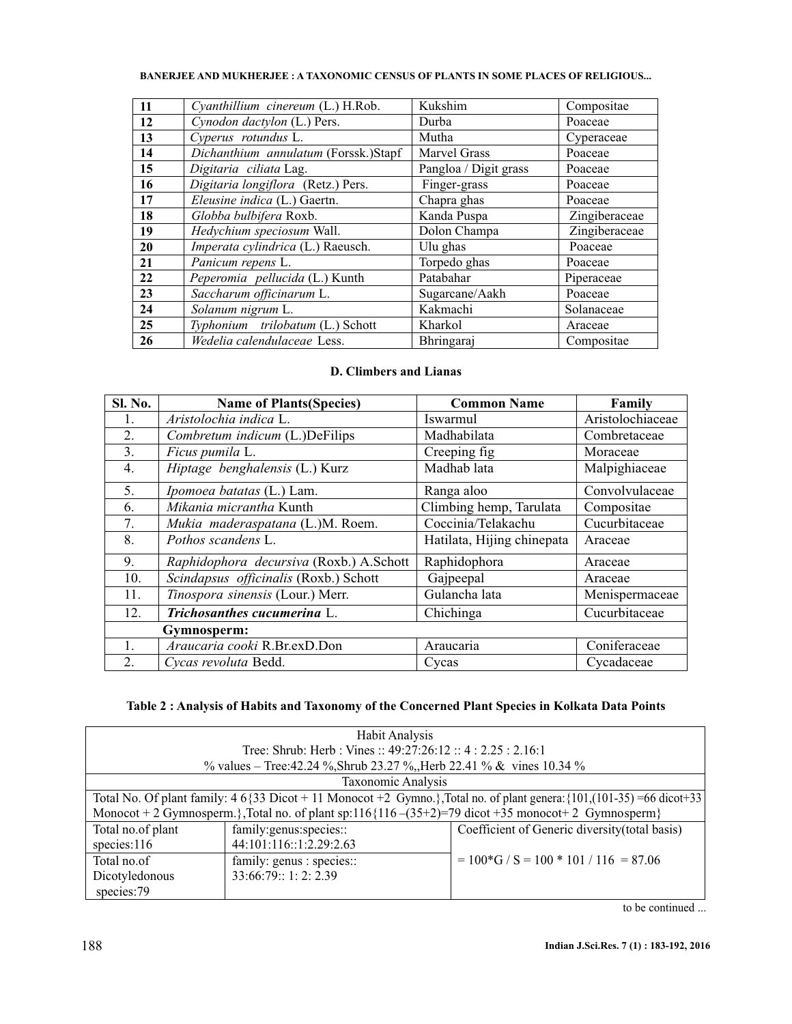| 11 | Cyanthillium cinereum (L.) H.Rob.    | Kukshim               | Compositae    |
|----|--------------------------------------|-----------------------|---------------|
| 12 | Cynodon dactylon (L.) Pers.          | Durba                 | Poaceae       |
| 13 | Cyperus rotundus L.                  | Mutha                 | Cyperaceae    |
| 14 | Dichanthium annulatum (Forssk.)Stapf | Marvel Grass          | Poaceae       |
| 15 | Digitaria ciliata Lag.               | Pangloa / Digit grass | Poaceae       |
| 16 | Digitaria longiflora (Retz.) Pers.   | Finger-grass          | Poaceae       |
| 17 | Eleusine indica (L.) Gaertn.         | Chapra ghas           | Poaceae       |
| 18 | Globba bulbifera Roxb.               | Kanda Puspa           | Zingiberaceae |
| 19 | Hedychium speciosum Wall.            | Dolon Champa          | Zingiberaceae |
| 20 | Imperata cylindrica (L.) Raeusch.    | Ulu ghas              | Poaceae       |
| 21 | Panicum repens L.                    | Torpedo ghas          | Poaceae       |
| 22 | Peperomia pellucida (L.) Kunth       | Patabahar             | Piperaceae    |
| 23 | Saccharum officinarum L.             | Sugarcane/Aakh        | Poaceae       |
| 24 | Solanum nigrum L.                    | Kakmachi              | Solanaceae    |
| 25 | Typhonium trilobatum (L.) Schott     | Kharkol               | Araceae       |
| 26 | Wedelia calendulaceae Less.          | Bhringaraj            | Compositae    |

# **D. Climbers and Lianas**

| Sl. No. | <b>Name of Plants (Species)</b>         | <b>Common Name</b>         | Family           |  |
|---------|-----------------------------------------|----------------------------|------------------|--|
| 1.      | Aristolochia indica L.                  | Iswarmul                   | Aristolochiaceae |  |
| 2.      | Combretum indicum (L.)DeFilips          | Madhabilata                | Combretaceae     |  |
| 3.      | Ficus pumila L.                         | Creeping fig.              | Moraceae         |  |
| 4.      | Hiptage benghalensis (L.) Kurz          | Madhab lata                | Malpighiaceae    |  |
| 5.      | Ipomoea batatas (L.) Lam.               | Ranga aloo                 | Convolvulaceae   |  |
| 6.      | Mikania micrantha Kunth                 | Climbing hemp, Tarulata    | Compositae       |  |
| 7.      | Mukia maderaspatana (L.)M. Roem.        | Coccinia/Telakachu         | Cucurbitaceae    |  |
| 8.      | Pothos scandens L.                      | Hatilata, Hijing chinepata | Araceae          |  |
| 9.      | Raphidophora decursiva (Roxb.) A.Schott | Raphidophora               | Araceae          |  |
| 10.     | Scindapsus officinalis (Roxb.) Schott   | Gajpeepal                  | Araceae          |  |
| 11.     | Tinospora sinensis (Lour.) Merr.        | Gulancha lata              | Menispermaceae   |  |
| 12.     | Trichosanthes cucumerina L.             | Chichinga                  | Cucurbitaceae    |  |
|         | Gymnosperm:                             |                            |                  |  |
|         | Araucaria cooki R.Br.exD.Don            | Araucaria                  | Coniferaceae     |  |
| 2.      | Cycas revoluta Bedd.                    | Cycas                      | Cycadaceae       |  |

# **Table 2 : Analysis of Habits and Taxonomy of the Concerned Plant Species in Kolkata Data Points**

| <b>Habit Analysis</b>                                                                                                            |                                                                                                      |                                                |  |  |  |  |  |
|----------------------------------------------------------------------------------------------------------------------------------|------------------------------------------------------------------------------------------------------|------------------------------------------------|--|--|--|--|--|
| Tree: Shrub: Herb : Vines :: $49:27:26:12::4:2.25:2.16:1$                                                                        |                                                                                                      |                                                |  |  |  |  |  |
|                                                                                                                                  | % values – Tree: 42.24 %, Shrub 23.27 %, Herb 22.41 % & vines 10.34 %                                |                                                |  |  |  |  |  |
|                                                                                                                                  | Taxonomic Analysis                                                                                   |                                                |  |  |  |  |  |
| Total No. Of plant family: $4\frac{6}{33}$ Dicot + 11 Monocot +2 Gymno.}, Total no. of plant genera: {101, (101-35) =66 dicot+33 |                                                                                                      |                                                |  |  |  |  |  |
|                                                                                                                                  | Monocot + 2 Gymnosperm.}, Total no. of plant sp:116{116 -(35+2)=79 dicot +35 monocot + 2 Gymnosperm} |                                                |  |  |  |  |  |
| Total no.of plant                                                                                                                | family:genus:species::                                                                               | Coefficient of Generic diversity (total basis) |  |  |  |  |  |
| 44:101:116::1:2.29:2.63<br>species: $116$                                                                                        |                                                                                                      |                                                |  |  |  |  |  |
| Total no.of                                                                                                                      | family: genus : species::                                                                            | $= 100*G / S = 100 * 101 / 116 = 87.06$        |  |  |  |  |  |
| 33:66:79::1:2:2.39<br>Dicotyledonous                                                                                             |                                                                                                      |                                                |  |  |  |  |  |
| species:79                                                                                                                       |                                                                                                      |                                                |  |  |  |  |  |

to be continued ...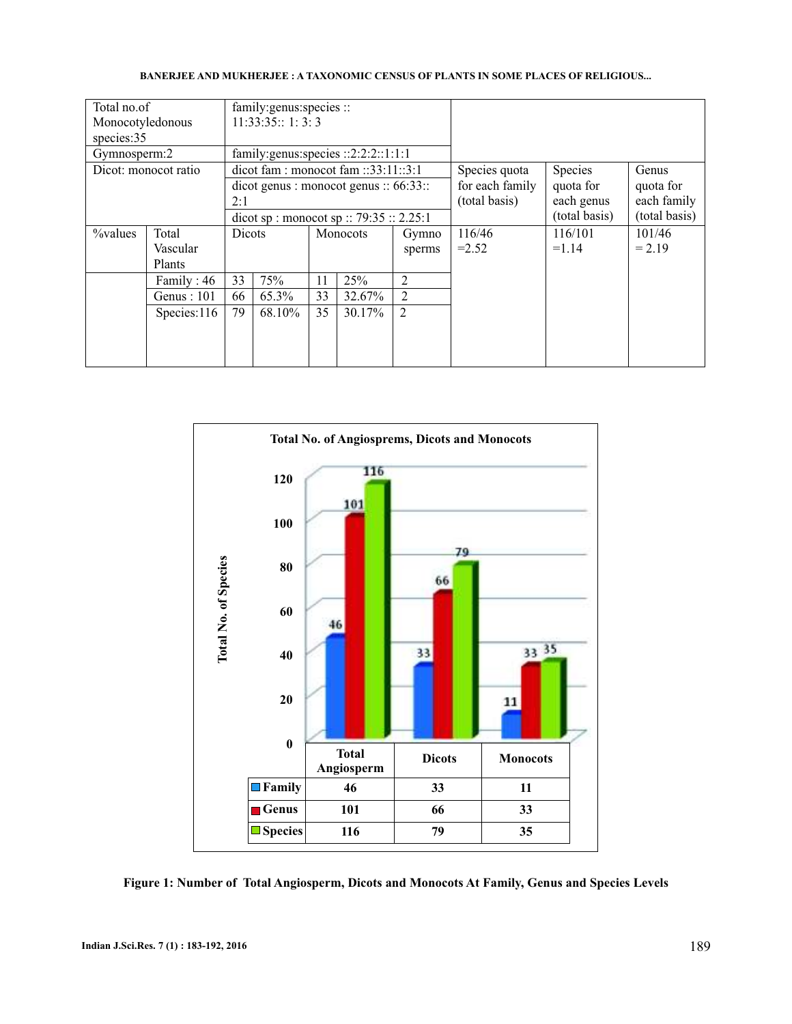| Total no.of      |                      | family: genus: species ::                                           |                        |          |                 |                |               |               |               |
|------------------|----------------------|---------------------------------------------------------------------|------------------------|----------|-----------------|----------------|---------------|---------------|---------------|
| Monocotyledonous |                      | 11:33:35::1:3:3                                                     |                        |          |                 |                |               |               |               |
| species:35       |                      |                                                                     |                        |          |                 |                |               |               |               |
| Gymnosperm:2     |                      | family: genus: species :: $2:2:2:1:1:1$                             |                        |          |                 |                |               |               |               |
|                  | Dicot: monocot ratio | $\text{di} \cdot \text{fam}$ : monocot fam :: 33:11::3:1            |                        |          |                 |                | Species quota | Species       | Genus         |
|                  |                      | $\text{dicot} \text{ genus}: \text{monocot} \text{ genus}: 66:33::$ |                        |          | for each family | quota for      | quota for     |               |               |
|                  |                      | 2:1                                                                 |                        |          |                 |                | (total basis) | each genus    | each family   |
|                  |                      | dicot sp : monocot sp :: 79:35 :: 2.25:1                            |                        |          |                 |                |               | (total basis) | (total basis) |
| $\%$ values      | Total                | <b>Dicots</b>                                                       |                        | Monocots |                 | Gymno          | 116/46        | 116/101       | 101/46        |
|                  | Vascular             |                                                                     |                        |          |                 | sperms         | $=2.52$       | $=1.14$       | $= 2.19$      |
|                  | Plants               |                                                                     |                        |          |                 |                |               |               |               |
|                  | Family: 46           | 33                                                                  | 75%                    | 11       | 25%             | $\overline{2}$ |               |               |               |
|                  | Genus : $101$        | 33<br>65.3%<br>66                                                   |                        | 32.67%   | $\overline{2}$  |                |               |               |               |
|                  | Species:116          | 79                                                                  | 35<br>30.17%<br>68.10% |          | $\overline{2}$  |                |               |               |               |
|                  |                      |                                                                     |                        |          |                 |                |               |               |               |
|                  |                      |                                                                     |                        |          |                 |                |               |               |               |
|                  |                      |                                                                     |                        |          |                 |                |               |               |               |



**Figure 1: Number of Total Angiosperm, Dicots and Monocots At Family, Genus and Species Levels**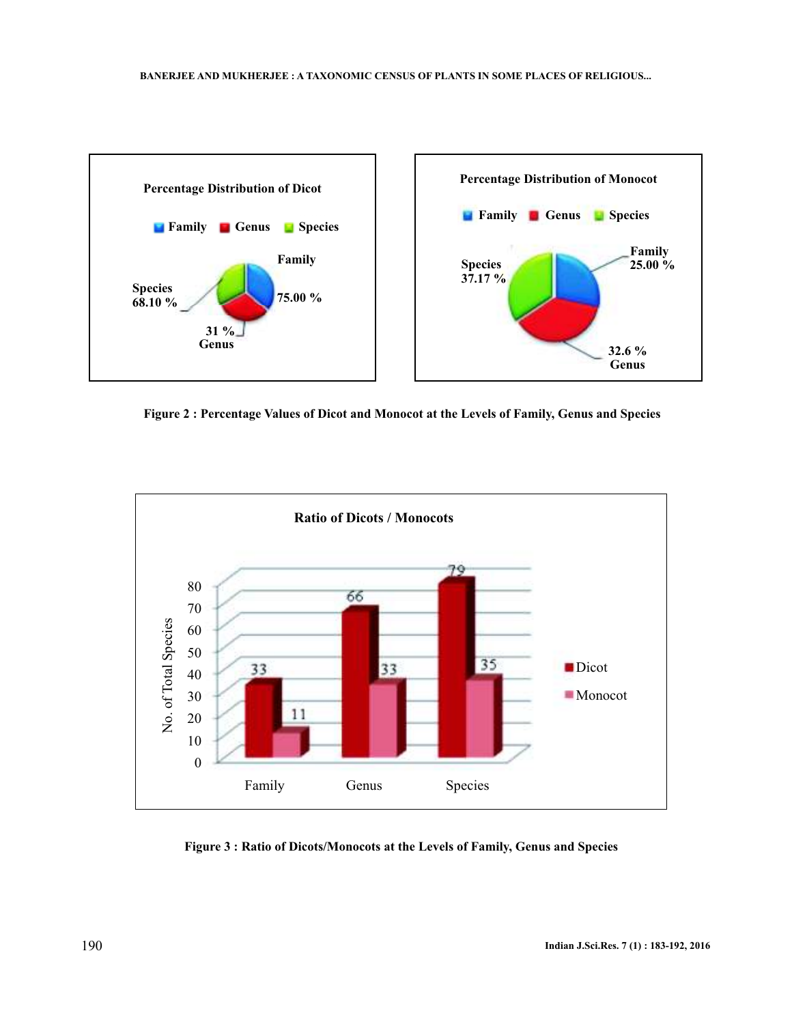

**Figure 2 : Percentage Values of Dicot and Monocot at the Levels of Family, Genus and Species**



**Figure 3 : Ratio of Dicots/Monocots at the Levels of Family, Genus and Species**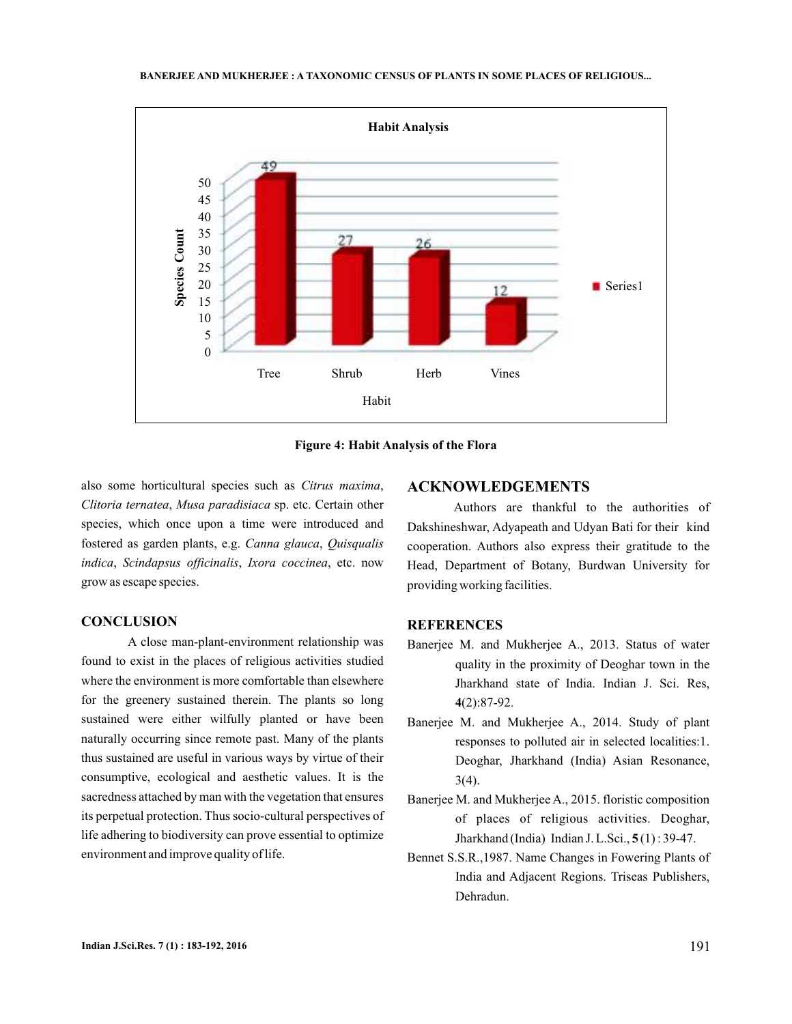

**Figure 4: Habit Analysis of the Flora**

also some horticultural species such as Citrus maxima, Clitoria ternatea, Musa paradisiaca sp. etc. Certain other species, which once upon a time were introduced and fostered as garden plants, e.g. , *Canna glauca Quisqualis* indica, Scindapsus officinalis, Ixora coccinea, etc. now grow as escape species.

### **CONCLUSION**

A close man-plant-environment relationship was found to exist in the places of religious activities studied where the environment is more comfortable than elsewhere for the greenery sustained therein. The plants so long sustained were either wilfully planted or have been naturally occurring since remote past. Many of the plants thus sustained are useful in various ways by virtue of their consumptive, ecological and aesthetic values. It is the sacredness attached by man with the vegetation that ensures its perpetual protection. Thus socio-cultural perspectives of life adhering to biodiversity can prove essential to optimize environment and improve quality of life.

## **ACKNOWLEDGEMENTS**

Authors are thankful to the authorities of Dakshineshwar, Adyapeath and Udyan Bati for their kind cooperation. Authors also express their gratitude to the Head, Department of Botany, Burdwan University for providing working facilities.

### **REFERENCES**

- Banerjee M. and Mukherjee A., 2013. Status of water quality in the proximity of Deoghar town in the Jharkhand state of India. Indian J. Sci. Res, (2):87-92. **4**
- Banerjee M. and Mukherjee A., 2014. Study of plant responses to polluted air in selected localities:1. Deoghar, Jharkhand (India) Asian Resonance, 3(4).
- Banerjee M. and Mukherjee A., 2015. floristic composition of places of religious activities. Deoghar, Jharkhand (India) Indian J. L.Sci., **5**(1): 39-47.
- Bennet S.S.R.,1987. Name Changes in Fowering Plants of India and Adjacent Regions. Triseas Publishers, Dehradun.